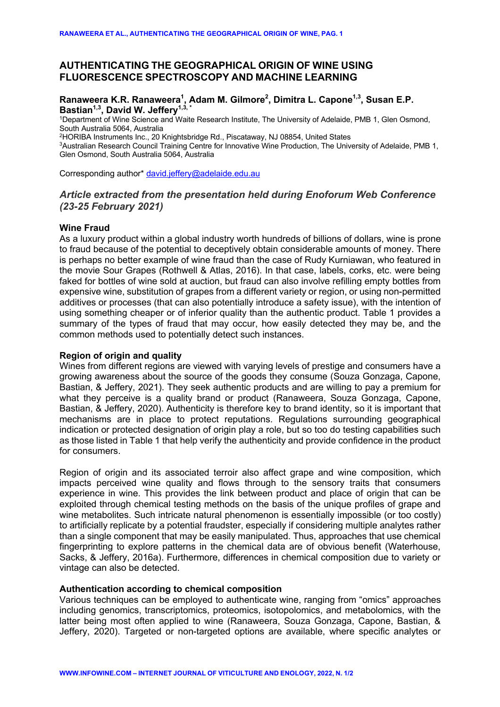# **AUTHENTICATING THE GEOGRAPHICAL ORIGIN OF WINE USING FLUORESCENCE SPECTROSCOPY AND MACHINE LEARNING**

### Ranaweera K.R. Ranaweera<sup>1</sup>, Adam M. Gilmore<sup>2</sup>, Dimitra L. Capone<sup>1,3</sup>, Susan E.P. Bastian<sup>1,3</sup>, David W. Jeffery<sup>1,3,\*</sup>

1Department of Wine Science and Waite Research Institute, The University of Adelaide, PMB 1, Glen Osmond, South Australia 5064, Australia

2HORIBA Instruments Inc., 20 Knightsbridge Rd., Piscataway, NJ 08854, United States

<sup>3</sup>Australian Research Council Training Centre for Innovative Wine Production, The University of Adelaide, PMB 1, Glen Osmond, South Australia 5064, Australia

Corresponding author\* david.jeffery@adelaide.edu.au

# *Article extracted from the presentation held during Enoforum Web Conference (23-25 February 2021)*

## **Wine Fraud**

As a luxury product within a global industry worth hundreds of billions of dollars, wine is prone to fraud because of the potential to deceptively obtain considerable amounts of money. There is perhaps no better example of wine fraud than the case of Rudy Kurniawan, who featured in the movie Sour Grapes (Rothwell & Atlas, 2016). In that case, labels, corks, etc. were being faked for bottles of wine sold at auction, but fraud can also involve refilling empty bottles from expensive wine, substitution of grapes from a different variety or region, or using non-permitted additives or processes (that can also potentially introduce a safety issue), with the intention of using something cheaper or of inferior quality than the authentic product. Table 1 provides a summary of the types of fraud that may occur, how easily detected they may be, and the common methods used to potentially detect such instances.

#### **Region of origin and quality**

Wines from different regions are viewed with varying levels of prestige and consumers have a growing awareness about the source of the goods they consume (Souza Gonzaga, Capone, Bastian, & Jeffery, 2021). They seek authentic products and are willing to pay a premium for what they perceive is a quality brand or product (Ranaweera, Souza Gonzaga, Capone, Bastian, & Jeffery, 2020). Authenticity is therefore key to brand identity, so it is important that mechanisms are in place to protect reputations. Regulations surrounding geographical indication or protected designation of origin play a role, but so too do testing capabilities such as those listed in Table 1 that help verify the authenticity and provide confidence in the product for consumers.

Region of origin and its associated terroir also affect grape and wine composition, which impacts perceived wine quality and flows through to the sensory traits that consumers experience in wine. This provides the link between product and place of origin that can be exploited through chemical testing methods on the basis of the unique profiles of grape and wine metabolites. Such intricate natural phenomenon is essentially impossible (or too costly) to artificially replicate by a potential fraudster, especially if considering multiple analytes rather than a single component that may be easily manipulated. Thus, approaches that use chemical fingerprinting to explore patterns in the chemical data are of obvious benefit (Waterhouse, Sacks, & Jeffery, 2016a). Furthermore, differences in chemical composition due to variety or vintage can also be detected.

#### **Authentication according to chemical composition**

Various techniques can be employed to authenticate wine, ranging from "omics" approaches including genomics, transcriptomics, proteomics, isotopolomics, and metabolomics, with the latter being most often applied to wine (Ranaweera, Souza Gonzaga, Capone, Bastian, & Jeffery, 2020). Targeted or non-targeted options are available, where specific analytes or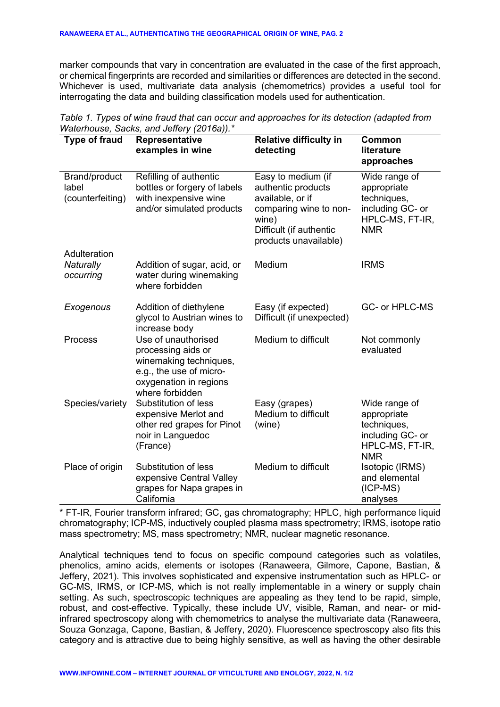marker compounds that vary in concentration are evaluated in the case of the first approach, or chemical fingerprints are recorded and similarities or differences are detected in the second. Whichever is used, multivariate data analysis (chemometrics) provides a useful tool for interrogating the data and building classification models used for authentication.

| <b>Type of fraud</b>                       | Representative<br>examples in wine                                                                                                          | <b>Relative difficulty in</b><br>detecting                                                                                                          | <b>Common</b><br>literature<br>approaches                                                        |
|--------------------------------------------|---------------------------------------------------------------------------------------------------------------------------------------------|-----------------------------------------------------------------------------------------------------------------------------------------------------|--------------------------------------------------------------------------------------------------|
| Brand/product<br>label<br>(counterfeiting) | Refilling of authentic<br>bottles or forgery of labels<br>with inexpensive wine<br>and/or simulated products                                | Easy to medium (if<br>authentic products<br>available, or if<br>comparing wine to non-<br>wine)<br>Difficult (if authentic<br>products unavailable) | Wide range of<br>appropriate<br>techniques,<br>including GC- or<br>HPLC-MS, FT-IR,<br><b>NMR</b> |
| Adulteration<br>Naturally<br>occurring     | Addition of sugar, acid, or<br>water during winemaking<br>where forbidden                                                                   | Medium                                                                                                                                              | <b>IRMS</b>                                                                                      |
| Exogenous                                  | Addition of diethylene<br>glycol to Austrian wines to<br>increase body                                                                      | Easy (if expected)<br>Difficult (if unexpected)                                                                                                     | GC- or HPLC-MS                                                                                   |
| Process                                    | Use of unauthorised<br>processing aids or<br>winemaking techniques,<br>e.g., the use of micro-<br>oxygenation in regions<br>where forbidden | Medium to difficult                                                                                                                                 | Not commonly<br>evaluated                                                                        |
| Species/variety                            | Substitution of less<br>expensive Merlot and<br>other red grapes for Pinot<br>noir in Languedoc<br>(France)                                 | Easy (grapes)<br>Medium to difficult<br>(wine)                                                                                                      | Wide range of<br>appropriate<br>techniques,<br>including GC- or<br>HPLC-MS, FT-IR,<br><b>NMR</b> |
| Place of origin                            | Substitution of less<br>expensive Central Valley<br>grapes for Napa grapes in<br>California                                                 | Medium to difficult                                                                                                                                 | Isotopic (IRMS)<br>and elemental<br>$(ICP-MS)$<br>analyses                                       |

*Table 1. Types of wine fraud that can occur and approaches for its detection (adapted from Waterhouse, Sacks, and Jeffery (2016a)).\**

\* FT-IR, Fourier transform infrared; GC, gas chromatography; HPLC, high performance liquid chromatography; ICP-MS, inductively coupled plasma mass spectrometry; IRMS, isotope ratio mass spectrometry; MS, mass spectrometry; NMR, nuclear magnetic resonance.

Analytical techniques tend to focus on specific compound categories such as volatiles, phenolics, amino acids, elements or isotopes (Ranaweera, Gilmore, Capone, Bastian, & Jeffery, 2021). This involves sophisticated and expensive instrumentation such as HPLC- or GC-MS, IRMS, or ICP-MS, which is not really implementable in a winery or supply chain setting. As such, spectroscopic techniques are appealing as they tend to be rapid, simple, robust, and cost-effective. Typically, these include UV, visible, Raman, and near- or midinfrared spectroscopy along with chemometrics to analyse the multivariate data (Ranaweera, Souza Gonzaga, Capone, Bastian, & Jeffery, 2020). Fluorescence spectroscopy also fits this category and is attractive due to being highly sensitive, as well as having the other desirable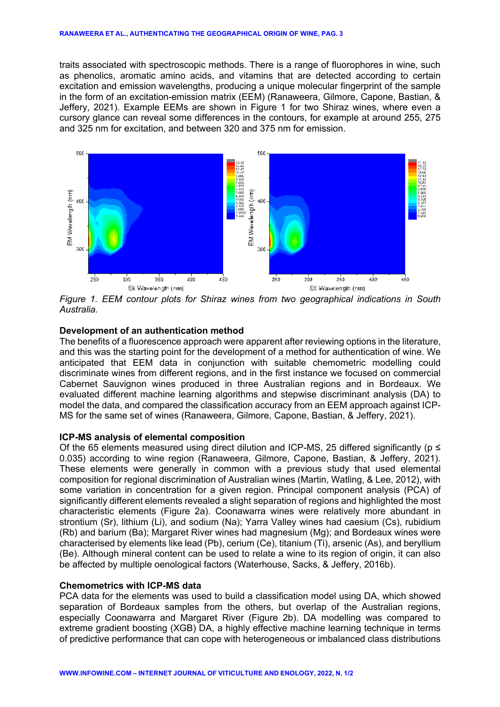traits associated with spectroscopic methods. There is a range of fluorophores in wine, such as phenolics, aromatic amino acids, and vitamins that are detected according to certain excitation and emission wavelengths, producing a unique molecular fingerprint of the sample in the form of an excitation-emission matrix (EEM) (Ranaweera, Gilmore, Capone, Bastian, & Jeffery, 2021). Example EEMs are shown in Figure 1 for two Shiraz wines, where even a cursory glance can reveal some differences in the contours, for example at around 255, 275 and 325 nm for excitation, and between 320 and 375 nm for emission.



*Figure 1. EEM contour plots for Shiraz wines from two geographical indications in South Australia.*

### **Development of an authentication method**

The benefits of a fluorescence approach were apparent after reviewing options in the literature, and this was the starting point for the development of a method for authentication of wine. We anticipated that EEM data in conjunction with suitable chemometric modelling could discriminate wines from different regions, and in the first instance we focused on commercial Cabernet Sauvignon wines produced in three Australian regions and in Bordeaux. We evaluated different machine learning algorithms and stepwise discriminant analysis (DA) to model the data, and compared the classification accuracy from an EEM approach against ICP-MS for the same set of wines (Ranaweera, Gilmore, Capone, Bastian, & Jeffery, 2021).

### **ICP-MS analysis of elemental composition**

Of the 65 elements measured using direct dilution and ICP-MS, 25 differed significantly ( $p \leq$ 0.035) according to wine region (Ranaweera, Gilmore, Capone, Bastian, & Jeffery, 2021). These elements were generally in common with a previous study that used elemental composition for regional discrimination of Australian wines (Martin, Watling, & Lee, 2012), with some variation in concentration for a given region. Principal component analysis (PCA) of significantly different elements revealed a slight separation of regions and highlighted the most characteristic elements (Figure 2a). Coonawarra wines were relatively more abundant in strontium (Sr), lithium (Li), and sodium (Na); Yarra Valley wines had caesium (Cs), rubidium (Rb) and barium (Ba); Margaret River wines had magnesium (Mg); and Bordeaux wines were characterised by elements like lead (Pb), cerium (Ce), titanium (Ti), arsenic (As), and beryllium (Be). Although mineral content can be used to relate a wine to its region of origin, it can also be affected by multiple oenological factors (Waterhouse, Sacks, & Jeffery, 2016b).

## **Chemometrics with ICP-MS data**

PCA data for the elements was used to build a classification model using DA, which showed separation of Bordeaux samples from the others, but overlap of the Australian regions, especially Coonawarra and Margaret River (Figure 2b). DA modelling was compared to extreme gradient boosting (XGB) DA, a highly effective machine learning technique in terms of predictive performance that can cope with heterogeneous or imbalanced class distributions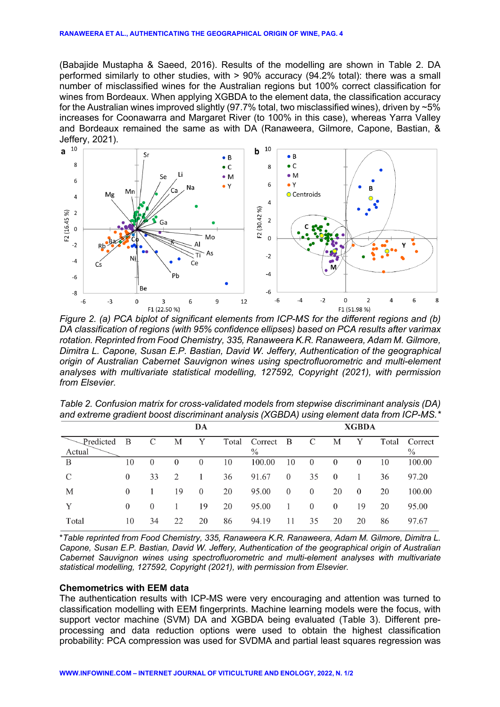(Babajide Mustapha & Saeed, 2016). Results of the modelling are shown in Table 2. DA performed similarly to other studies, with > 90% accuracy (94.2% total): there was a small number of misclassified wines for the Australian regions but 100% correct classification for wines from Bordeaux. When applying XGBDA to the element data, the classification accuracy for the Australian wines improved slightly (97.7% total, two misclassified wines), driven by  $\sim 5\%$ increases for Coonawarra and Margaret River (to 100% in this case), whereas Yarra Valley and Bordeaux remained the same as with DA (Ranaweera, Gilmore, Capone, Bastian, & Jeffery, 2021).<br>a<sup>10</sup>



*Figure 2. (a) PCA biplot of significant elements from ICP-MS for the different regions and (b) DA classification of regions (with 95% confidence ellipses) based on PCA results after varimax rotation. Reprinted from Food Chemistry, 335, Ranaweera K.R. Ranaweera, Adam M. Gilmore, Dimitra L. Capone, Susan E.P. Bastian, David W. Jeffery, Authentication of the geographical origin of Australian Cabernet Sauvignon wines using spectrofluorometric and multi-element analyses with multivariate statistical modelling, 127592, Copyright (2021), with permission from Elsevier.*

| Table 2. Confusion matrix for cross-validated models from stepwise discriminant analysis (DA)<br>and extreme gradient boost discriminant analysis (XGBDA) using element data from ICP-MS.* |  |
|--------------------------------------------------------------------------------------------------------------------------------------------------------------------------------------------|--|
|                                                                                                                                                                                            |  |

|               | DA       |          |          |          |    |                 |                |          | <b>XGBDA</b>   |                |       |         |  |  |  |
|---------------|----------|----------|----------|----------|----|-----------------|----------------|----------|----------------|----------------|-------|---------|--|--|--|
| Predicted     | B        | C        | М        | Y        |    | Total Correct B |                | C        | М              | Y              | Total | Correct |  |  |  |
| Actual        |          |          |          |          |    | $\%$            |                |          |                |                |       | $\%$    |  |  |  |
| B             | 10       | $\theta$ | $\theta$ | $\theta$ | 10 | 100.00          | 10             | $\theta$ | $\theta$       | $\theta$       | 10    | 100.00  |  |  |  |
| $\mathcal{C}$ | $\theta$ | 33       | 2        |          | 36 | 91.67           | $\overline{0}$ | 35       | $\overline{0}$ |                | 36    | 97.20   |  |  |  |
| М             | $\theta$ |          | 19       | $\theta$ | 20 | 95.00           | $\overline{0}$ | $\theta$ | 20             | $\overline{0}$ | 20    | 100.00  |  |  |  |
| Y             | $\Omega$ | $\theta$ |          | 19       | 20 | 95.00           |                | $\theta$ | $\theta$       | 19             | 20    | 95.00   |  |  |  |
| Total         | 10       | 34       | 22       | 20       | 86 | 94.19           | 11             | 35       | 20             | 20             | 86    | 97.67   |  |  |  |

\**Table reprinted from Food Chemistry, 335, Ranaweera K.R. Ranaweera, Adam M. Gilmore, Dimitra L. Capone, Susan E.P. Bastian, David W. Jeffery, Authentication of the geographical origin of Australian Cabernet Sauvignon wines using spectrofluorometric and multi-element analyses with multivariate statistical modelling, 127592, Copyright (2021), with permission from Elsevier.*

## **Chemometrics with EEM data**

The authentication results with ICP-MS were very encouraging and attention was turned to classification modelling with EEM fingerprints. Machine learning models were the focus, with support vector machine (SVM) DA and XGBDA being evaluated (Table 3). Different preprocessing and data reduction options were used to obtain the highest classification probability: PCA compression was used for SVDMA and partial least squares regression was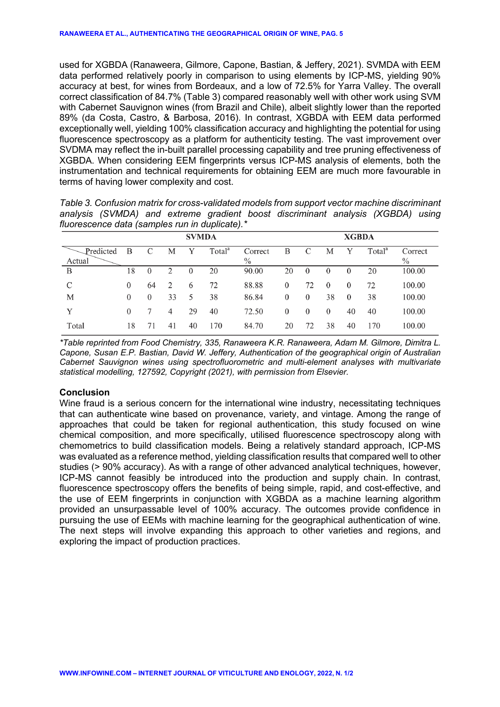used for XGBDA (Ranaweera, Gilmore, Capone, Bastian, & Jeffery, 2021). SVMDA with EEM data performed relatively poorly in comparison to using elements by ICP-MS, yielding 90% accuracy at best, for wines from Bordeaux, and a low of 72.5% for Yarra Valley. The overall correct classification of 84.7% (Table 3) compared reasonably well with other work using SVM with Cabernet Sauvignon wines (from Brazil and Chile), albeit slightly lower than the reported 89% (da Costa, Castro, & Barbosa, 2016). In contrast, XGBDA with EEM data performed exceptionally well, yielding 100% classification accuracy and highlighting the potential for using fluorescence spectroscopy as a platform for authenticity testing. The vast improvement over SVDMA may reflect the in-built parallel processing capability and tree pruning effectiveness of XGBDA. When considering EEM fingerprints versus ICP-MS analysis of elements, both the instrumentation and technical requirements for obtaining EEM are much more favourable in terms of having lower complexity and cost.

|                                                |  |  |  |  |  | Table 3. Confusion matrix for cross-validated models from support vector machine discriminant |  |  |  |  |  |
|------------------------------------------------|--|--|--|--|--|-----------------------------------------------------------------------------------------------|--|--|--|--|--|
|                                                |  |  |  |  |  | analysis (SVMDA) and extreme gradient boost discriminant analysis (XGBDA) using               |  |  |  |  |  |
| fluorescence data (samples run in duplicate).* |  |  |  |  |  |                                                                                               |  |  |  |  |  |

| <b>SVMDA</b>        |          |          |    |          |                    |                          | <b>XGBDA</b> |          |          |          |                    |                 |  |
|---------------------|----------|----------|----|----------|--------------------|--------------------------|--------------|----------|----------|----------|--------------------|-----------------|--|
| Predicted<br>Actual | B        |          | М  |          | Total <sup>a</sup> | Correct<br>$\frac{0}{0}$ | B            | C        | М        | Y        | Total <sup>a</sup> | Correct<br>$\%$ |  |
| B                   | 18       | $\Omega$ | ∍  | $\theta$ | 20                 | 90.00                    | 20           | $\theta$ | $\theta$ | $\theta$ | 20                 | 100.00          |  |
| C                   | $\theta$ | 64       | 2  | 6        | 72                 | 88.88                    | $\theta$     | 72       | $\theta$ | $\theta$ | 72                 | 100.00          |  |
| M                   | $\theta$ | $\theta$ | 33 | 5        | 38                 | 86.84                    | 0            | $\left($ | 38       | $\theta$ | 38                 | 100.00          |  |
| Y                   | $\Omega$ |          | 4  | 29       | 40                 | 72.50                    | 0            | $\Omega$ | $\theta$ | 40       | 40                 | 100.00          |  |
| Total               | 18       |          | 41 | 40       | 170                | 84.70                    | 20           | 72       | 38       | 40       | 170                | 100.00          |  |

*\*Table reprinted from Food Chemistry, 335, Ranaweera K.R. Ranaweera, Adam M. Gilmore, Dimitra L. Capone, Susan E.P. Bastian, David W. Jeffery, Authentication of the geographical origin of Australian Cabernet Sauvignon wines using spectrofluorometric and multi-element analyses with multivariate statistical modelling, 127592, Copyright (2021), with permission from Elsevier.*

## **Conclusion**

Wine fraud is a serious concern for the international wine industry, necessitating techniques that can authenticate wine based on provenance, variety, and vintage. Among the range of approaches that could be taken for regional authentication, this study focused on wine chemical composition, and more specifically, utilised fluorescence spectroscopy along with chemometrics to build classification models. Being a relatively standard approach, ICP-MS was evaluated as a reference method, yielding classification results that compared well to other studies (> 90% accuracy). As with a range of other advanced analytical techniques, however, ICP-MS cannot feasibly be introduced into the production and supply chain. In contrast, fluorescence spectroscopy offers the benefits of being simple, rapid, and cost-effective, and the use of EEM fingerprints in conjunction with XGBDA as a machine learning algorithm provided an unsurpassable level of 100% accuracy. The outcomes provide confidence in pursuing the use of EEMs with machine learning for the geographical authentication of wine. The next steps will involve expanding this approach to other varieties and regions, and exploring the impact of production practices.